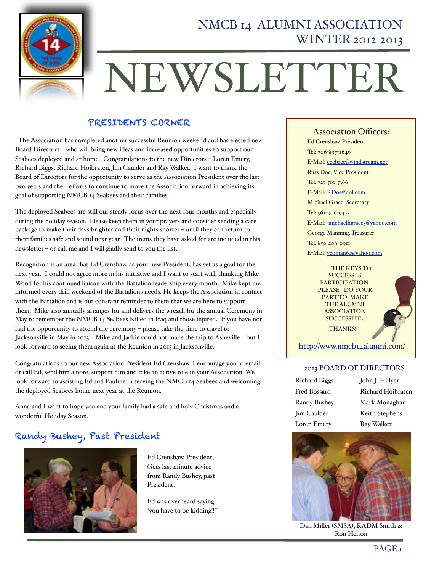

# NEWSLETTER

## PRESIDENTS CORNER

 The Association has completed another successful Reunion weekend and has elected new Board Directors – who will bring new ideas and increased opportunities to support our Seabees deployed and at home. Congratulations to the new Directors – Loren Emery, Richard Biggs, Richard Hoibraten, Jim Caulder and Ray Walker. I want to thank the Board of Directors for the opportunity to serve as the Association President over the last two years and their efforts to continue to move the Association forward in achieving its goal of supporting NMCB 14 Seabees and their families.

The deployed Seabees are still our steady focus over the next four months and especially during the holiday season. Please keep them in your prayers and consider sending a care package to make their days brighter and their nights shorter – until they can return to their families safe and sound next year. The items they have asked for are included in this newsletter – or call me and I will gladly send to you the list.

Recognition is an area that Ed Crenshaw, as your new President, has set as a goal for the next year. I could not agree more in his initiative and I want to start with thanking Mike Wood for his continued liaison with the Battalion leadership every month. Mike kept me informed every drill weekend of the Battalions needs. He keeps the Association in contact with the Battalion and is our constant reminder to them that we are here to support them. Mike also annually arranges for and delivers the wreath for the annual Ceremony in May to remember the NMCB 14 Seabees Killed in Iraq and those injured. If you have not had the opportunity to attend the ceremony – please take the time to travel to Jacksonville in May in 2013. Mike and Jackie could not make the trip to Asheville – but I look forward to seeing them again at the Reunion in 2013 in Jacksonville.

Congratulations to our new Association President Ed Crenshaw. I encourage you to email or call Ed, send him a note, support him and take an active role in your Association. We look forward to assisting Ed and Pauline in serving the NMCB 14 Seabees and welcoming the deployed Seabees home next year at the Reunion.

Anna and I want to hope you and your family had a safe and holy Christmas and a wonderful Holiday Season.

# Randy Bushey, Past President



Ed Crenshaw, President, Gets last minute advice from Randy Bushey, past President.

Ed was overheard saying "you have to be kidding!!"

Association Officers: Ed Crenshaw, President Tel: 706-897-2649 E-Mail: [cecbret@windstream.net](mailto:Randy.Bushey@CH2M.com) Russ Doe, Vice President Tel: 727-510-5366 E-Mail: [RDoe@aol.com](mailto:alton_robertson@hotmail.com) Michael Grace, Secretary Tel: 561-906-9475 E-Mail: [michaelhgrace3@yahoo.com](mailto:mgrace@sjcfl.us) George Manning, Treasurer Tel: 850-209-0911 E-Mail: [yeoman61@yahoo.com](mailto:r.l.helton@att.net)

> THE KEYS TO SUCCESS IS PARTICIPATION. PLEASE DO YOUR PART TO MAKE THE ALUMNI ASSOCIATION SUCCESSFUL. THANKS!!



[http://www.nmcb14alumni.com/](http://www.nmcb14alumni.com)

#### 2013 BOARD OF DIRECTORS

| Richard Biggs | John J. Hillyer   |
|---------------|-------------------|
| Fred Bossard  | Richard Hoibraten |
| Randy Bushey  | Mark Monaghan     |
| Jim Caulder   | Keith Stephens    |
| Loren Emery   | Ray Walker        |



Dan Miller (SMSA), RADM Smith & Ron Helton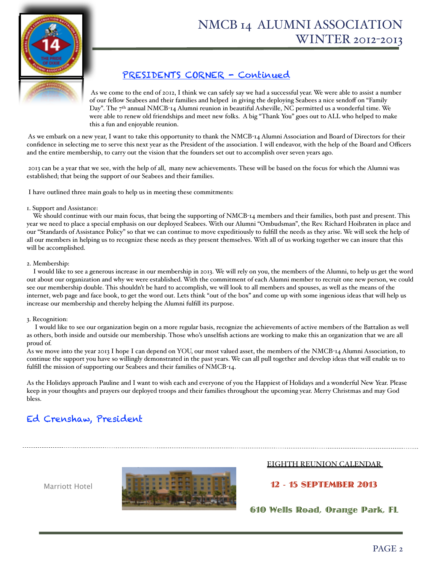

## PRESIDENTS CORNER - Continued

As we come to the end of 2012, I think we can safely say we had a successful year. We were able to assist a number of our fellow Seabees and their families and helped in giving the deploying Seabees a nice sendoff on "Family Day". The  $7<sup>th</sup>$  annual NMCB-14 Alumni reunion in beautiful Asheville, NC permitted us a wonderful time. We were able to renew old friendships and meet new folks. A big "Thank You" goes out to ALL who helped to make this a fun and enjoyable reunion.

 As we embark on a new year, I want to take this opportunity to thank the NMCB-14 Alumni Association and Board of Directors for their confidence in selecting me to serve this next year as the President of the association. I will endeavor, with the help of the Board and Officers and the entire membership, to carry out the vision that the founders set out to accomplish over seven years ago.

 2013 can be a year that we see, with the help of all, many new achievements. These will be based on the focus for which the Alumni was established; that being the support of our Seabees and their families.

I have outlined three main goals to help us in meeting these commitments:

#### 1. Support and Assistance:

 We should continue with our main focus, that being the supporting of NMCB-14 members and their families, both past and present. This year we need to place a special emphasis on our deployed Seabees. With our Alumni "Ombudsman", the Rev. Richard Hoibraten in place and our "Standards of Assistance Policy" so that we can continue to move expeditiously to fulfill the needs as they arise. We will seek the help of all our members in helping us to recognize these needs as they present themselves. With all of us working together we can insure that this will be accomplished.

#### 2. Membership:

 I would like to see a generous increase in our membership in 2013. We will rely on you, the members of the Alumni, to help us get the word out about our organization and why we were established. With the commitment of each Alumni member to recruit one new person, we could see our membership double. This shouldn't be hard to accomplish, we will look to all members and spouses, as well as the means of the internet, web page and face book, to get the word out. Lets think "out of the box" and come up with some ingenious ideas that will help us increase our membership and thereby helping the Alumni fulfill its purpose.

#### 3. Recognition:

 I would like to see our organization begin on a more regular basis, recognize the achievements of active members of the Battalion as well as others, both inside and outside our membership. Those who's unselfish actions are working to make this an organization that we are all proud of.

As we move into the year 2013 I hope I can depend on YOU, our most valued asset, the members of the NMCB-14 Alumni Association, to continue the support you have so willingly demonstrated in the past years. We can all pull together and develop ideas that will enable us to fulfill the mission of supporting our Seabees and their families of NMCB-14.

As the Holidays approach Pauline and I want to wish each and everyone of you the Happiest of Holidays and a wonderful New Year. Please keep in your thoughts and prayers our deployed troops and their families throughout the upcoming year. Merry Christmas and may God bless.

# Ed Crenshaw, President

Marriott Hotel



#### EIGHTH REUNION CALENDAR

#### 12 - 15 SEPTEMBER 2013

610 Wells Road, Orange Park, FL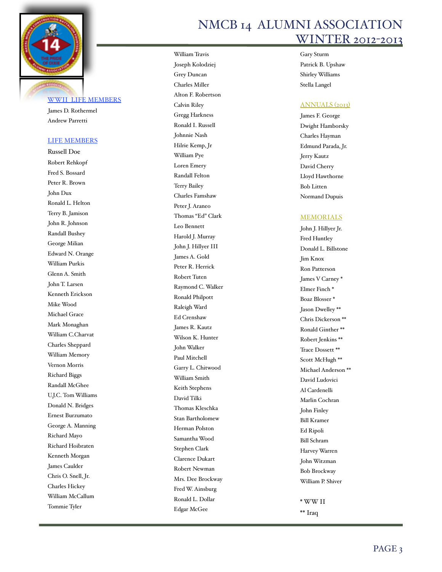

#### WWII LIFE MEMBERS

James D. Rothermel Andrew Parretti

#### LIFE MEMBERS

Russell Doe Robert Rehkopf Fred S. Bossard Peter R. Brown John Dux Ronald L. Helton Terry B. Jamison John R. Johnson Randall Bushey George Milian Edward N. Orange William Purkis Glenn A. Smith John T. Larsen Kenneth Erickson Mike Wood Michael Grace Mark Monaghan William C.Charvat Charles Sheppard William Memory Vernon Morris Richard Biggs Randall McGhee U.J.C. Tom Williams Donald N. Bridges Ernest Burzumato George A. Manning Richard Mayo Richard Hoibraten Kenneth Morgan James Caulder Chris O. Snell, Jr. Charles Hickey William McCallum Tommie Tyler

William Travis Joseph Kolodziej Grey Duncan Charles Miller Alton F. Robertson Calvin Riley Gregg Harkness Ronald I. Russell Johnnie Nash Hilrie Kemp, Jr William Pye Loren Emery Randall Felton Terry Bailey Charles Famshaw Peter J. Araneo Thomas "Ed" Clark Leo Bennett Harold J. Murray John J. Hillyer III James A. Gold Peter R. Herrick Robert Tuten Raymond C. Walker Ronald Philpott Raleigh Ward Ed Crenshaw James R. Kautz Wilson K. Hunter John Walker Paul Mitchell Garry L. Chitwood William Smith Keith Stephens David Tilki Thomas Kleschka Stan Bartholomew Herman Polston Samantha Wood Stephen Clark Clarence Dukart Robert Newman Mrs. Dee Brockway Fred W. Ainsburg Ronald L. Dollar Edgar McGee

# NMCB 14 ALUMNI ASSOCIATION WINTER 2012-2013

Gary Sturm Patrick B. Upshaw Shirley Williams Stella Langel

#### ANNUALS (2013)

James F. George Dwight Hamborsky Charles Hayman Edmund Parada, Jr. Jerry Kautz David Cherry Lloyd Hawthorne Bob Litten Normand Dupuis

#### MEMORIALS

John J. Hillyer Jr. Fred Huntley Donald L. Billstone Jim Knox Ron Patterson James V Carney \* Elmer Finch \* Boaz Blosser \* Jason Dwelley \*\* Chris Dickerson \*\* Ronald Ginther \*\* Robert Jenkins \*\* Trace Dossett \*\* Scott McHugh \*\* Michael Anderson \*\* David Ludovici Al Cardenelli Marlin Cochran John Finley Bill Kramer Ed Ripoli Bill Schram Harvey Warren John Witzman Bob Brockway William P. Shiver \* WW II \*\* Iraq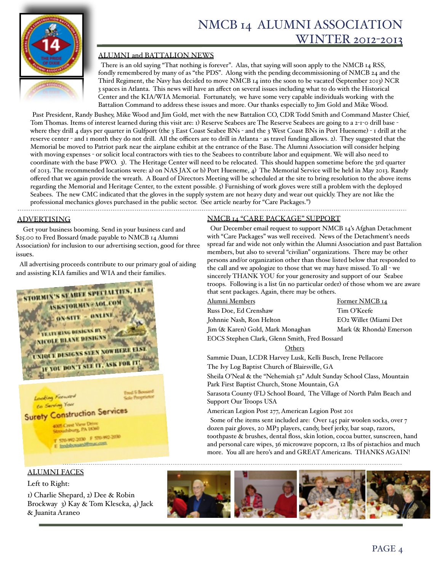

#### ALUMNI and BATTALION NEWS

 There is an old saying "That nothing is forever". Alas, that saying will soon apply to the NMCB 14 RSS, fondly remembered by many of as "the PDS". Along with the pending decommissioning of NMCB 24 and the Third Regiment, the Navy has decided to move NMCB 14 into the soon to be vacated (September 2013) NCR 3 spaces in Atlanta. This news will have an affect on several issues including what to do with the Historical Center and the KIA/WIA Memorial. Fortunately, we have some very capable individuals working with the Battalion Command to address these issues and more. Our thanks especially to Jim Gold and Mike Wood.

Past President, Randy Bushey, Mike Wood and Jim Gold, met with the new Battalion CO, CDR Todd Smith and Command Master Chief, Tom Thomas. Items of interest learned during this visit are: 1) Reserve Seabees are The Reserve Seabees are going to a 2-1-0 drill base where they drill 4 days per quarter in Gulfport (the 3 East Coast Seabee BNs - and the 3 West Coast BNs in Port Hueneme) - 1 drill at the reserve center - and 1 month they do not drill. All the officers are to drill in Atlanta - as travel funding allows. 2). They suggested that the Memorial be moved to Patriot park near the airplane exhibit at the entrance of the Base. The Alumni Association will consider helping with moving expenses - or solicit local contractors with ties to the Seabees to contribute labor and equipment. We will also need to coordinate with the base PWO. 3). The Heritage Center will need to be relocated. This should happen sometime before the 3rd quarter of 2013. The recommended locations were: a) on NAS JAX or b) Port Hueneme, 4) The Memorial Service will be held in May 2013. Randy offered that we again provide the wreath. A Board of Directors Meeting will be scheduled at the site to bring resolution to the above items regarding the Memorial and Heritage Center, to the extent possible. 5) Furnishing of work gloves were still a problem with the deployed Seabees. The new CMC indicated that the gloves in the supply system are not heavy duty and wear out quickly. They are not like the professional mechanics gloves purchased in the public sector. (See article nearby for "Care Packages.")

ADVERTISING

 Get your business booming. Send in your business card and \$25.00 to Fred Bossard (made payable to NMCB 14 Alumni Association) for inclusion to our advertising section, good for three issues.

 All advertising proceeds contribute to our primary goal of aiding and assisting KIA families and WIA and their families.



## ALUMNI FACES

Left to Right:

1) Charlie Shepard, 2) Dee & Robin Brockway 3) Kay & Tom Klescka, 4) Jack & Juanita Araneo

#### NMCB 14 "CARE PACKAGE" SUPPORT

 Our December email request to support NMCB 14's Afghan Detachment with "Care Packages" was well received. News of the Detachment's needs spread far and wide not only within the Alumni Association and past Battalion members, but also to several "civilian" organizations. There may be other persons and/or organization other than those listed below that responded to the call and we apologize to those that we may have missed. To all - we sincerely THANK YOU for your generosity and support of our Seabee troops. Following is a list (in no particular order) of those whom we are aware that sent packages. Again, there may be others.

Alumni Members " " " Former NMCB 14 Russ Doe, Ed Crenshaw " Tim O'Keefe Johnnie Nash, Ron Helton " EO2 Willet (Miami Det Jim (& Karen) Gold, Mark Monaghan Mark (& Rhonda) Emerson

EOCS Stephen Clark, Glenn Smith, Fred Bossard

#### Others

Sammie Duan, LCDR Harvey Lusk, Kelli Busch, Irene Pellacore

The Ivy Log Baptist Church of Blairsville, GA

Sheila O'Neal & the "Nehemiah 52" Adult Sunday School Class, Mountain Park First Baptist Church, Stone Mountain, GA

Sarasota County (FL) School Board, The Village of North Palm Beach and Support Our Troops USA

American Legion Post 277, American Legion Post 201

 Some of the items sent included are: Over 145 pair woolen socks, over 7 dozen pair gloves, 20 MP3 players, candy, beef jerky, bar soap, razors, toothpaste & brushes, dental floss, skin lotion, cocoa butter, sunscreen, hand and personal care wipes, 36 microwave popcorn, 12 lbs of pistachios and much more. You all are hero's and and GREAT Americans. THANKS AGAIN!

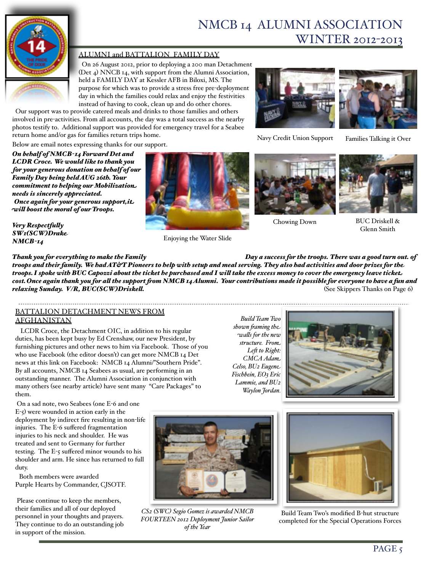

#### ALUMNI and BATTALION FAMILY DAY

 On 26 August 2012, prior to deploying a 200 man Detachment (Det 4) NNCB 14, with support from the Alumni Association, held a FAMILY DAY at Kessler AFB in Biloxi, MS. The purpose for which was to provide a stress free pre-deployment day in which the families could relax and enjoy the festivities instead of having to cook, clean up and do other chores.

 Our support was to provide catered meals and drinks to those families and others involved in pre-activities. From all accounts, the day was a total success as the nearby photos testify to. Additional support was provided for emergency travel for a Seabee return home and/or gas for families return trips home.

Navy Credit Union Support

Families Talking it Over

Below are email notes expressing thanks for our support.

*On behalf of NMCB-14 Forward Det and LCDR Croce. We would like to thank you for your generous donation on behalf of our Family Day being held AUG 26th. Your commitment to helping our Mobilization needs is sincerely appreciated. Once again for your generous support,it wil boost the moral of our Troops.*

*Very Respectfuly SW1(SCW)Drake NMCB-14* 



Enjoying the Water Slide



Chowing Down



BUC Driskell & Glenn Smith

*Thank you for everything to make the Family Day a success for the troops. There was a good turn out. of troops and their family. We had AT&T Pioneers to help with setup and meal serving. They also had activities and door prizes for the troops.I spoke with BUC Capozzi about the ticket he purchased and I wil take the excess money to cover the emergency leave ticket cost.Once again thank you for al the support fom NMCB 14 Alumni. Your contributions made it possible for everyone to have a fun and relaxing Sunday. V/R, BUC(SCW)Driskell.*  $\frac{1}{2}$  +  $\frac{1}{2}$  +  $\frac{1}{2}$  +  $\frac{1}{2}$  +  $\frac{1}{2}$  +  $\frac{1}{2}$  +  $\frac{1}{2}$  +  $\frac{1}{2}$  +  $\frac{1}{2}$  +  $\frac{1}{2}$  +  $\frac{1}{2}$  +  $\frac{1}{2}$  +  $\frac{1}{2}$  +  $\frac{1}{2}$  +  $\frac{1}{2}$ 

#### BATTALION DETACHMENT NEWS FROM AFGHANISTAN

 LCDR Croce, the Detachment OIC, in addition to his regular duties, has been kept busy by Ed Crenshaw, our new President, by furnishing pictures and other news to him via Facebook. Those of you who use Facebook (the editor doesn't) can get more NMCB 14 Det news at this link on Facebook: NMCB 14 Alumni/"Southern Pride". By all accounts, NMCB 14 Seabees as usual, are performing in an outstanding manner. The Alumni Association in conjunction with many others (see nearby article) have sent many "Care Packages" to them.

 On a sad note, two Seabees (one E-6 and one  $E-5$ ) were wounded in action early in the deployment by indirect fire resulting in non-life injuries. The E-6 suffered fragmentation injuries to his neck and shoulder. He was treated and sent to Germany for further testing. The E-5 suffered minor wounds to his shoulder and arm. He since has returned to full duty.

Both members were awarded Purple Hearts by Commander, CJSOTF.

 Please continue to keep the members, their families and all of our deployed personnel in your thoughts and prayers. They continue to do an outstanding job in support of the mission.



*CS2 (SWC) Segio Gomez is awarded NMCB FOURTEEN 2012 Deployment Junior Sailor of the Year*





Build Team Two's modified B-hut structure completed for the Special Operations Forces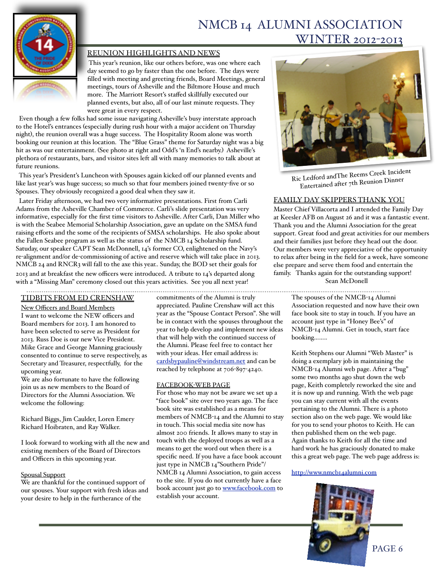

#### REUNION HIGHLIGHTS AND NEWS

 This year's reunion, like our others before, was one where each day seemed to go by faster than the one before. The days were filled with meeting and greeting friends, Board Meetings, general meetings, tours of Asheville and the Biltmore House and much more. The Marriott Resort's staffed skillfully executed our planned events, but also, all of our last minute requests. They were great in every respect.

 Even though a few folks had some issue navigating Asheville's busy interstate approach to the Hotel's entrances (especially during rush hour with a major accident on Thursday night), the reunion overall was a huge success. The Hospitality Room alone was worth booking our reunion at this location. The "Blue Grass" theme for Saturday night was a big hit as was our entertainment. (See photo at right and Odd's 'n End's nearby.) Asheville's plethora of restaurants, bars, and visitor sites left all with many memories to talk about at future reunions.

 This year's President's Luncheon with Spouses again kicked off our planned events and like last year's was huge success; so much so that four members joined twenty-five or so Spouses. They obviously recognized a good deal when they saw it.

 Later Friday afternoon, we had two very informative presentations. First from Carli Adams from the Asheville Chamber of Commerce. Carli's slide presentation was very informative, especially for the first time visitors to Asheville. After Carli, Dan Miller who is with the Seabee Memorial Scholarship Association, gave an update on the SMSA fund raising efforts and the some of the recipients of SMSA scholarships. He also spoke about the Fallen Seabee program as well as the status of the NMCB 14 Scholarship fund. Satuday, our speaker CAPT Sean McDonnell, 14's former CO, enlightened on the Navy's re-alignment and/or de-commissioning of active and reserve which will take place in 2013. NMCB 24 and RNCR3 will fall to the axe this year.. Sunday, the BOD set their goals for 2013 and at breakfast the new officers were introduced. A tribute to 14's departed along with a "Missing Man" ceremony closed out this years activities. See you all next year!

#### TIDBITS FROM ED CRENSHAW

#### New Officers and Board Members

I want to welcome the NEW officers and Board members for 2013. I am honored to have been selected to serve as President for 2013. Russ Doe is our new Vice President. Mike Grace and George Manning graciously consented to continue to serve respectively, as Secretary and Treasurer, respectfully, for the upcoming year.

We are also fortunate to have the following join us as new members to the Board of Directors for the Alumni Association. We welcome the following:

Richard Biggs, Jim Caulder, Loren Emery Richard Hoibraten, and Ray Walker.

I look forward to working with all the new and existing members of the Board of Directors and Officers in this upcoming year.

#### Spousal Support

We are thankful for the continued support of our spouses. Your support with fresh ideas and your desire to help in the furtherance of the

commitments of the Alumni is truly appreciated. Pauline Crenshaw will act this year as the "Spouse Contact Person". She will be in contact with the spouses throughout the year to help develop and implement new ideas that will help with the continued success of the Alumni. Please feel free to contact her with your ideas. Her email address is: cardsbypauline@windstream.net and can be reached by telephone at 706-897-4240.

#### FACEBOOK-WEB PAGE

For those who may not be aware we set up a "face book" site over two years ago. The face book site was established as a means for members of NMCB-14 and the Alumni to stay in touch. This social media site now has almost 200 friends. It allows many to stay in touch with the deployed troops as well as a means to get the word out when there is a specific need. If you have a face book account just type in NMCB 14"Southern Pride"/ NMCB 14 Alumni Association, to gain access to the site. If you do not currently have a face book account just go to www.facebook.com to establish your account.



Ric Ledford andThe Reems Creek Incident Entertained after 7th Reunion Dinner

#### FAMILY DAY SKIPPERS THANK YOU

Master Chief Villacorta and I attended the Family Day at Keesler AFB on August 26 and it was a fantastic event. Thank you and the Alumni Association for the great support. Great food and great activities for our members and their families just before they head out the door. Our members were very appreciative of the opportunity to relax after being in the field for a week, have someone else prepare and serve them food and entertain the family. Thanks again for the outstanding support! Sean McDonell

> The spouses of the NMCB-14 Alumni Association requested and now have their own face book site to stay in touch. If you have an account just type in "Honey Bee's" of NMCB-14 Alumni. Get in touch, start face booking……..

> Keith Stephens our Alumni "Web Master" is doing a exemplary job in maintaining the NMCB-14 Alumni web page. After a "bug" some two months ago shut down the web page, Keith completely reworked the site and it is now up and running. With the web page you can stay current with all the events pertaining to the Alumni. There is a photo section also on the web page. We would like for you to send your photos to Keith. He can then published them on the web page. Again thanks to Keith for all the time and hard work he has graciously donated to make this a great web page. The web page address is:

<http://www.nmcb14alumni.com>